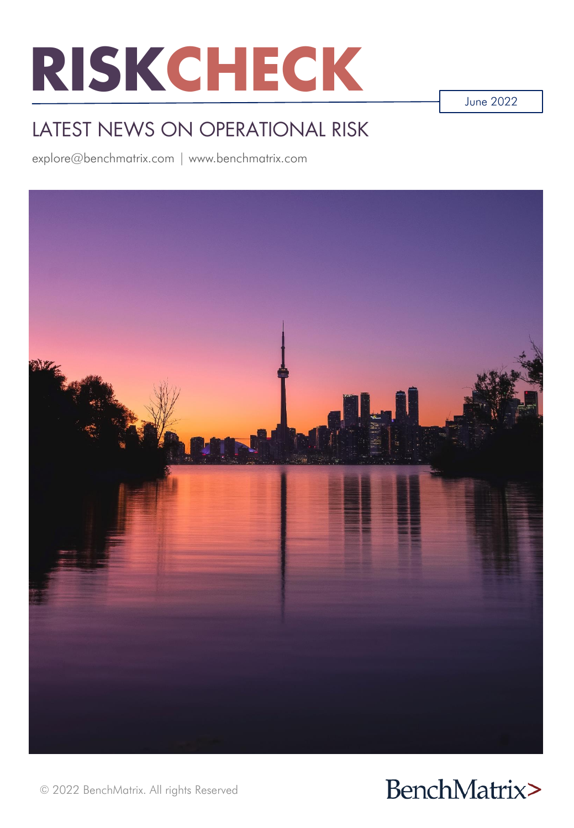

June 2022

# LATEST NEWS ON OPERATIONAL RISK

explore@benchmatrix.com | www.benchmatrix.com





© 2022 BenchMatrix. All rights Reserved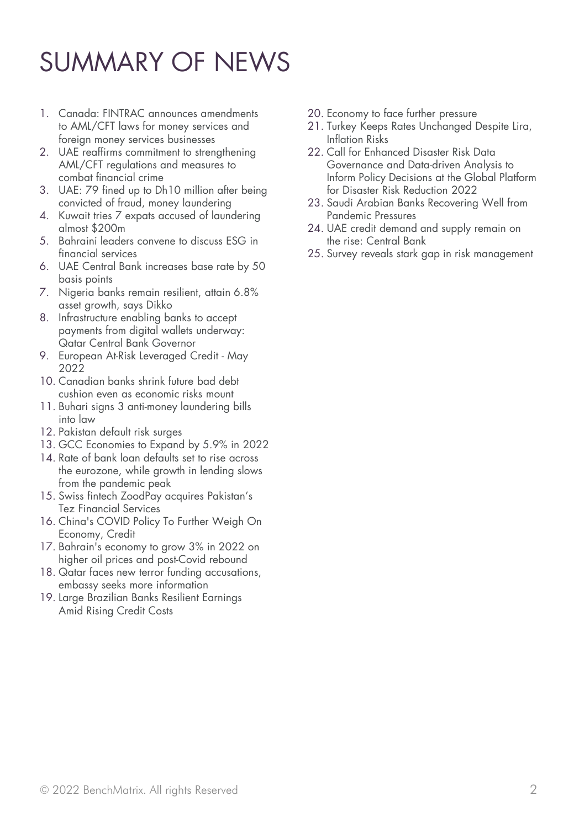# SUMMARY OF NEWS

- 1. Canada: FINTRAC announces amendments to AML/CFT laws for money services and foreign money services businesses
- 2. UAE reaffirms commitment to strengthening AML/CFT regulations and measures to combat financial crime
- 3. UAE: 79 fined up to Dh10 million after being convicted of fraud, money laundering
- 4. Kuwait tries 7 expats accused of laundering almost \$200m
- 5. Bahraini leaders convene to discuss ESG in financial services
- 6. UAE Central Bank increases base rate by 50 basis points
- 7. Nigeria banks remain resilient, attain 6.8% asset growth, says Dikko
- 8. Infrastructure enabling banks to accept payments from digital wallets underway: Qatar Central Bank Governor
- 9. European At-Risk Leveraged Credit May 2022
- 10. Canadian banks shrink future bad debt cushion even as economic risks mount
- 11. Buhari signs 3 anti-money laundering bills into law
- 12. Pakistan default risk surges
- 13. GCC Economies to Expand by 5.9% in 2022
- 14. Rate of bank loan defaults set to rise across the eurozone, while growth in lending slows from the pandemic peak
- 15. Swiss fintech ZoodPay acquires Pakistan's Tez Financial Services
- 16. China's COVID Policy To Further Weigh On Economy, Credit
- 17. Bahrain's economy to grow 3% in 2022 on higher oil prices and post-Covid rebound
- 18. Qatar faces new terror funding accusations, embassy seeks more information
- 19. Large Brazilian Banks Resilient Earnings Amid Rising Credit Costs
- 20. Economy to face further pressure
- 21. Turkey Keeps Rates Unchanged Despite Lira, Inflation Risks
- 22. Call for Enhanced Disaster Risk Data Governance and Data-driven Analysis to Inform Policy Decisions at the Global Platform for Disaster Risk Reduction 2022
- 23. Saudi Arabian Banks Recovering Well from Pandemic Pressures
- 24. UAE credit demand and supply remain on the rise: Central Bank
- 25. Survey reveals stark gap in risk management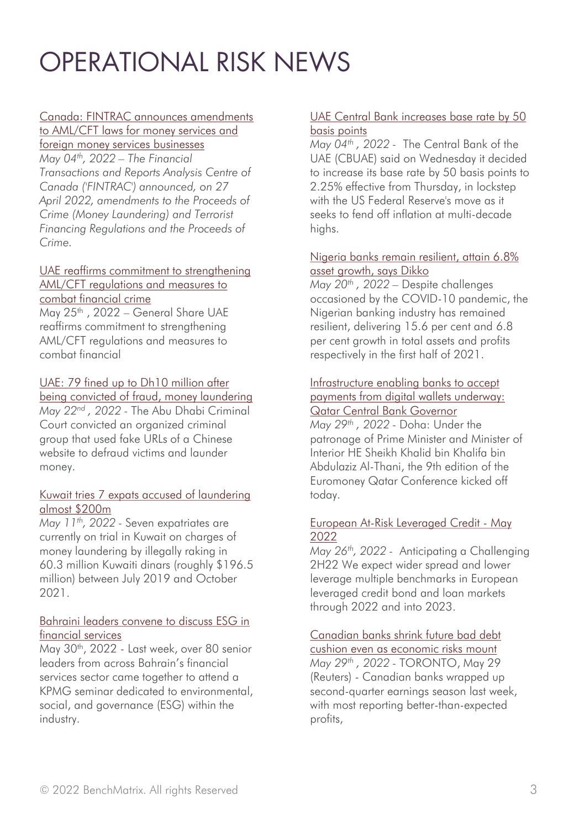# OPERATIONAL RISK NEWS

# [Canada: FINTRAC announces amendments](https://www.dataguidance.com/news/canada-fintrac-announces-amendments-amlcft-laws-money)

to AML/CFT laws for money services and foreign money services businesses *May 04th, 2022 – The Financial Transactions and Reports Analysis Centre of Canada ('FINTRAC') announced, on 27* 

*April 2022, amendments to the Proceeds of Crime (Money Laundering) and Terrorist Financing Regulations and the Proceeds of Crime.*

#### [UAE reaffirms commitment to strengthening](https://www.mofaic.gov.ae/en/mediahub/news/2022/5/25/25-05-2022-uae-aml-cft) AML/CFT regulations and measures to combat financial crime

May 25<sup>th</sup>, 2022 – General Share UAE reaffirms commitment to strengthening AML/CFT regulations and measures to combat financial

## UAE: 79 fined up to Dh10 million after

[being convicted of fraud, money laundering](https://www.khaleejtimes.com/crime/uae-79-fined-up-to-dh10-million-after-being-convicted-of-fraud-money-laundering) *May 22nd , 2022 -* The Abu Dhabi Criminal Court convicted an organized criminal group that used fake URLs of a Chinese website to defraud victims and launder money.

#### [Kuwait tries 7 expats accused of laundering](https://www.middleeastmonitor.com/20220511-kuwait-tries-7-expats-accused-of-laundering-almost-200m/)  almost \$200m

*May 11th, 2022 -* Seven expatriates are currently on trial in Kuwait on charges of money laundering by illegally raking in 60.3 million Kuwaiti dinars (roughly \$196.5 million) between July 2019 and October 2021.

#### [Bahraini leaders convene to discuss ESG in](https://www.consultancy-me.com/news/5018/bahraini-leaders-convene-to-discuss-esg-in-financial-services)  financial services

May 30<sup>th</sup>, 2022 - Last week, over 80 senior leaders from across Bahrain's financial services sector came together to attend a KPMG seminar dedicated to environmental, social, and governance (ESG) within the industry.

#### [UAE Central Bank increases base rate by 50](https://www.khaleejtimes.com/banking-in-uae/uae-central-bank-increases-base-rate) basis points

*May 04th , 2022 -* The Central Bank of the UAE (CBUAE) said on Wednesday it decided to increase its base rate by 50 basis points to 2.25% effective from Thursday, in lockstep with the US Federal Reserve's move as it seeks to fend off inflation at multi-decade highs.

#### [Nigeria banks remain resilient, attain 6.8%](https://guardian.ng/business-services/nigeria-banks-remain-resilient-attain-6-8-asset-growth-says-dikko/) asset growth, says Dikko

*May 20th , 2022 –* Despite challenges occasioned by the COVID-10 pandemic, the Nigerian banking industry has remained resilient, delivering 15.6 per cent and 6.8 per cent growth in total assets and profits respectively in the first half of 2021.

#### Infrastructure enabling banks to accept [payments from digital wallets underway:](https://thepeninsulaqatar.com/article/29/05/2022/infrastructure-enabling-banks-to-accept-payments-from-digital-wallets-underway-qatar-central-bank-governor) Qatar Central Bank Governor

*May 29th , 2022 -* Doha: Under the patronage of Prime Minister and Minister of Interior HE Sheikh Khalid bin Khalifa bin Abdulaziz Al-Thani, the 9th edition of the Euromoney Qatar Conference kicked off today.

#### [European At-Risk Leveraged Credit -](https://www.fitchratings.com/research/corporate-finance/european-at-risk-leveraged-credit-may-2022-26-05-2022) May 2022

*May 26th, 2022 -* Anticipating a Challenging 2H22 We expect wider spread and lower leverage multiple benchmarks in European leveraged credit bond and loan markets through 2022 and into 2023.

# [Canadian banks shrink future bad debt](https://www.reuters.com/markets/us/national-bank-canada-beats-profit-estimates-second-quarter-2022-05-27/)

cushion even as economic risks mount *May 29th , 2022 -* TORONTO, May 29 (Reuters) - Canadian banks wrapped up second-quarter earnings season last week, with most reporting better-than-expected profits,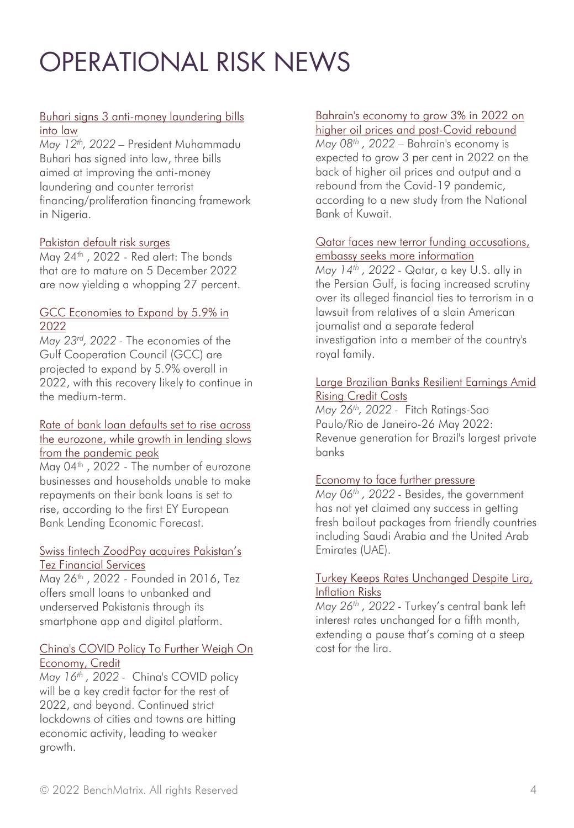# OPERATIONAL RISK NEWS

#### [Buhari signs 3 anti-money laundering bills](https://www.vanguardngr.com/2022/05/buhari-signs-3-anti-money-laundering-bills-into-law/)  into law

*May 12th, 2022 –* President Muhammadu Buhari has signed into law, three bills aimed at improving the anti-money laundering and counter terrorist financing/proliferation financing framework in Nigeria.

#### [Pakistan default risk surges](https://www.thenews.com.pk/print/960174-pakistan-default-risk-surges)

May 24<sup>th</sup>, 2022 - Red alert: The bonds that are to mature on 5 December 2022 are now yielding a whopping 27 percent.

#### [GCC Economies to Expand by 5.9% in](https://www.worldbank.org/en/news/press-release/2022/05/23/-gcc-economies-to-expand-by-5-9-in-2022) 2022

*May 23rd, 2022 -* The economies of the Gulf Cooperation Council (GCC) are projected to expand by 5.9% overall in 2022, with this recovery likely to continue in the medium-term.

#### [Rate of bank loan defaults set to rise across](https://www.ey.com/en_gl/news/2022/05/rate-of-bank-loan-defaults-set-to-rise-across-the-eurozone-while-growth-in-lending-slows-from-the-pandemic-peak)  the eurozone, while growth in lending slows from the pandemic peak

May 04<sup>th</sup>, 2022 - The number of eurozone businesses and households unable to make repayments on their bank loans is set to rise, according to the first EY European Bank Lending Economic Forecast.

#### Swiss fintech ZoodPay [acquires Pakistan's](https://www.fintechfutures.com/2022/05/swiss-fintech-zoodpay-acquires-pakistans-tez-financial-services/) Tez Financial Services

May 26th , 2022 - Founded in 2016, Tez offers small loans to unbanked and underserved Pakistanis through its smartphone app and digital platform.

#### [China's COVID Policy To Further Weigh On](https://www.spglobal.com/ratings/en/research/articles/220516-china-s-covid-policy-to-further-weigh-on-economy-credit-12373139) Economy, Credit

*May 16th , 2022 -* China's COVID policy will be a key credit factor for the rest of 2022, and beyond. Continued strict lockdowns of cities and towns are hitting economic activity, leading to weaker growth.

#### [Bahrain's economy to grow 3% in 2022 on](https://www.thenationalnews.com/business/economy/2022/05/08/bahrains-economy-to-grow-3-in-2022-on-higher-oil-prices-and-post-covid-rebound/)

higher oil prices and post-Covid rebound *May 08th , 2022 –* Bahrain's economy is expected to grow 3 per cent in 2022 on the back of higher oil prices and output and a rebound from the Covid-19 pandemic, according to a new study from the National Bank of Kuwait.

#### [Qatar faces new terror funding accusations,](https://www.business-standard.com/article/international/qatar-faces-new-terror-funding-accusations-embassy-seeks-more-information-122051400044_1.html)  embassy seeks more information

*May 14th , 2022 -* Qatar, a key U.S. ally in the Persian Gulf, is facing increased scrutiny over its alleged financial ties to terrorism in a lawsuit from relatives of a slain American journalist and a separate federal investigation into a member of the country's royal family.

#### [Large Brazilian Banks Resilient Earnings Amid](https://www.fitchratings.com/research/banks/large-brazilian-banks-resilient-earnings-amid-rising-credit-costs-26-05-2022)  Rising Credit Costs

*May 26th, 2022 -* Fitch Ratings-Sao Paulo/Rio de Janeiro-26 May 2022: Revenue generation for Brazil's largest private banks

#### [Economy to face further pressure](https://tribune.com.pk/story/2355353/economy-to-face-further-pressure)

*May 06th , 2022 -* Besides, the government has not yet claimed any success in getting fresh bailout packages from friendly countries including Saudi Arabia and the United Arab Emirates (UAE).

#### [Turkey Keeps Rates Unchanged Despite Lira,](https://www.bloomberg.com/news/articles/2022-05-26/turkey-keeps-rates-on-hold-again-despite-lira-inflation-risks)  Inflation Risks

*May 26th , 2022 -* Turkey's central bank left interest rates unchanged for a fifth month, extending a pause that's coming at a steep cost for the lira.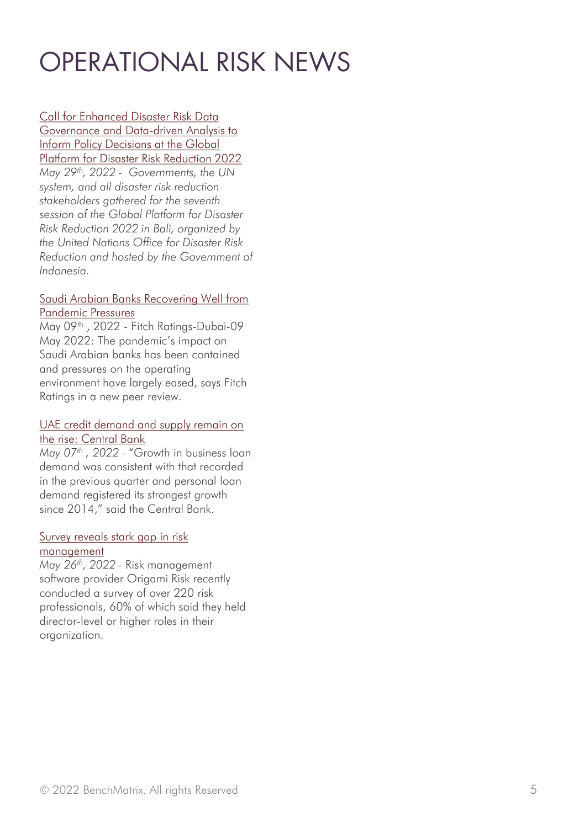# OPERATIONAL RISK NEWS

Call for Enhanced Disaster Risk Data [Governance and Data-driven Analysis to](https://reliefweb.int/report/world/call-enhanced-disaster-risk-data-governance-and-data-driven-analysis-inform-policy-decisions-global-platform-disaster-risk-reduction-2022)  Inform Policy Decisions at the Global Platform for Disaster Risk Reduction 2022 *May 29th, 2022 - Governments, the UN system, and all disaster risk reduction stakeholders gathered for the seventh session of the Global Platform for Disaster Risk Reduction 2022 in Bali, organized by the United Nations Office for Disaster Risk Reduction and hosted by the Government of Indonesia.*

#### [Saudi Arabian Banks Recovering Well from](https://www.fitchratings.com/research/banks/saudi-arabian-banks-recovering-well-from-pandemic-pressures-09-05-2022)  Pandemic Pressures

May 09<sup>th</sup>, 2022 - Fitch Ratings-Dubai-09 May 2022: The pandemic's impact on Saudi Arabian banks has been contained and pressures on the operating environment have largely eased, says Fitch Ratings in a new peer review.

#### [UAE credit demand and supply remain on](https://gulfnews.com/business/banking/uae-credit-demand-and-supply-remain-on-the-rise-central-bank-1.87689245) the rise: Central Bank

*May 07th , 2022 -* "Growth in business loan demand was consistent with that recorded in the previous quarter and personal loan demand registered its strongest growth since 2014," said the Central Bank.

#### [Survey reveals stark gap in risk](https://www.insurancebusinessmag.com/ca/risk-management/news/survey-reveals-stark-gap-in-risk-management-407484.aspx) management

*May 26th, 2022 -* Risk management software provider Origami Risk recently conducted a survey of over 220 risk professionals, 60% of which said they held director-level or higher roles in their organization.